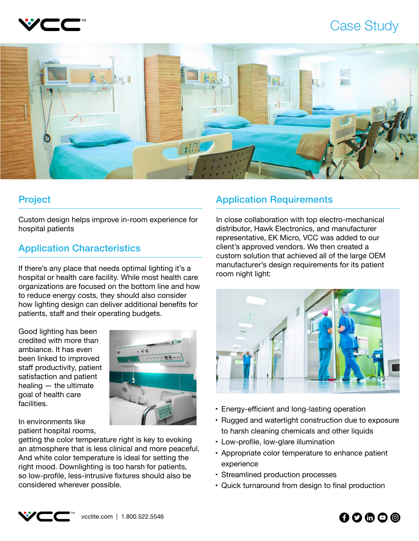

# Case Study



Custom design helps improve in-room experience for hospital patients

## Application Characteristics

If there's any place that needs optimal lighting it's a **reproduction of the set of that in**<br>hospital or health care facility. While most health care room night light: organizations are focused on the bottom line and how to reduce energy costs, they should also consider how lighting design can deliver additional benefits for patients, staff and their operating budgets.

Good lighting has been credited with more than ambiance. It has even been linked to improved staff productivity, patient satisfaction and patient healing — the ultimate goal of health care facilities.



In environments like patient hospital rooms,

getting the color temperature right is key to evoking an atmosphere that is less clinical and more peaceful. And white color temperature is ideal for setting the right mood. Downlighting is too harsh for patients, so low-profile, less-intrusive fixtures should also be considered wherever possible.

### Project **Application Requirements**

In close collaboration with top electro-mechanical distributor, Hawk Electronics, and manufacturer representative, EK Micro, VCC was added to our client's approved vendors. We then created a custom solution that achieved all of the large OEM manufacturer's design requirements for its patient



- Energy-efficient and long-lasting operation
- Rugged and watertight construction due to exposure to harsh cleaning chemicals and other liquids
- Low-profile, low-glare illumination
- Appropriate color temperature to enhance patient experience
- Streamlined production processes
- Quick turnaround from design to final production